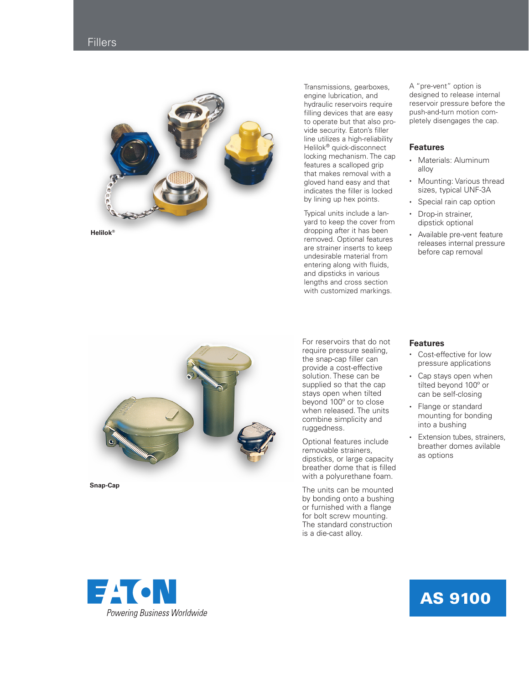## **Fillers**



Transmissions, gearboxes, engine lubrication, and hydraulic reservoirs require filling devices that are easy to operate but that also pro vide security. Eaton's filler line utilizes a high-reliability Helilok ® quick-disconnect locking mechanism. The cap features a scalloped grip that makes removal with a gloved hand easy and that indicates the filler is locked by lining up hex points.

Typical units include a lan yard to keep the cover from dropping after it has been removed. Optional features are strainer inserts to keep undesirable material from entering along with fluids, and dipsticks in various lengths and cross section with customized markings.

A "pre-vent" option is designed to release internal reservoir pressure before the push-and-turn motion com pletely disengages the cap.

## **Features**

- Materials: Aluminum alloy
- Mounting: Various thread sizes, typical UNF-3A
- Special rain cap option
- Drop-in strainer, dipstick optional
- Available pre-vent feature releases internal pressure before cap removal



**Snap-Cap**

For reservoirs that do not require pressure sealing, the snap-cap filler can provide a cost-effective solution. These can be supplied so that the cap stays open when tilted beyond 100º or to close when released. The units combine simplicity and ruggedness.

Optional features include removable strainers, dipsticks, or large capacity breather dome that is filled with a polyurethane foam.

The units can be mounted by bonding onto a bushing or furnished with a flange for bolt screw mounting. The standard construction is a die-cast alloy.

## **Features**

- Cost-effective for low pressure applications
- Cap stays open when tilted beyond 100º or can be self-closing
- Flange or standard mounting for bonding into a bushing
- Extension tubes, strainers, breather domes avilable as options



## AS 9100